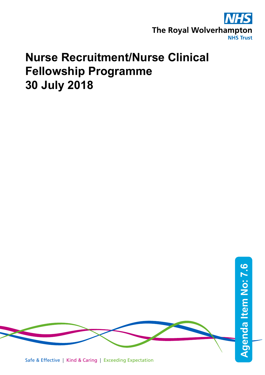

# **Nurse Recruitment/Nurse Clinical Fellowship Programme 30 July 2018**

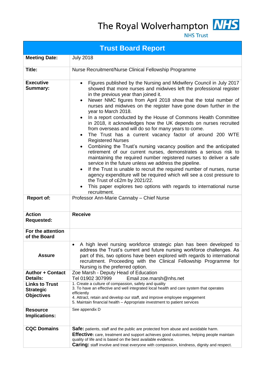The Royal Wolverhampton MHS



**NHS Trust** 

| <b>Trust Board Report</b>                                      |                                                                                                                                                                                                                                                                                                                                                                                                                                                                                                                                                                                                                                                                                                                                                                                                                                                                                                                                                                                                                                                                                                                                                                                                          |  |  |
|----------------------------------------------------------------|----------------------------------------------------------------------------------------------------------------------------------------------------------------------------------------------------------------------------------------------------------------------------------------------------------------------------------------------------------------------------------------------------------------------------------------------------------------------------------------------------------------------------------------------------------------------------------------------------------------------------------------------------------------------------------------------------------------------------------------------------------------------------------------------------------------------------------------------------------------------------------------------------------------------------------------------------------------------------------------------------------------------------------------------------------------------------------------------------------------------------------------------------------------------------------------------------------|--|--|
| <b>Meeting Date:</b>                                           | <b>July 2018</b>                                                                                                                                                                                                                                                                                                                                                                                                                                                                                                                                                                                                                                                                                                                                                                                                                                                                                                                                                                                                                                                                                                                                                                                         |  |  |
| Title:                                                         | Nurse Recruitment/Nurse Clinical Fellowship Programme                                                                                                                                                                                                                                                                                                                                                                                                                                                                                                                                                                                                                                                                                                                                                                                                                                                                                                                                                                                                                                                                                                                                                    |  |  |
| <b>Executive</b><br><b>Summary:</b>                            | Figures published by the Nursing and Midwifery Council in July 2017<br>$\bullet$<br>showed that more nurses and midwives left the professional register<br>in the previous year than joined it.<br>Newer NMC figures from April 2018 show that the total number of<br>nurses and midwives on the register have gone down further in the<br>year to March 2018.<br>In a report conducted by the House of Commons Health Committee<br>in 2018, it acknowledges how the UK depends on nurses recruited<br>from overseas and will do so for many years to come.<br>The Trust has a current vacancy factor of around 200 WTE<br><b>Registered Nurses</b><br>Combining the Trust's nursing vacancy position and the anticipated<br>retirement of our current nurses, demonstrates a serious risk to<br>maintaining the required number registered nurses to deliver a safe<br>service in the future unless we address the pipeline.<br>If the Trust is unable to recruit the required number of nurses, nurse<br>agency expenditure will be required which will see a cost pressure to<br>the Trust of c£2m by 2021/22.<br>This paper explores two options with regards to international nurse<br>recruitment. |  |  |
| <b>Report of:</b>                                              | Professor Ann-Marie Cannaby - Chief Nurse                                                                                                                                                                                                                                                                                                                                                                                                                                                                                                                                                                                                                                                                                                                                                                                                                                                                                                                                                                                                                                                                                                                                                                |  |  |
| <b>Action</b><br><b>Requested:</b>                             | <b>Receive</b>                                                                                                                                                                                                                                                                                                                                                                                                                                                                                                                                                                                                                                                                                                                                                                                                                                                                                                                                                                                                                                                                                                                                                                                           |  |  |
| For the attention<br>of the Board                              |                                                                                                                                                                                                                                                                                                                                                                                                                                                                                                                                                                                                                                                                                                                                                                                                                                                                                                                                                                                                                                                                                                                                                                                                          |  |  |
| <b>Assure</b>                                                  | A high level nursing workforce strategic plan has been developed to<br>address the Trust's current and future nursing workforce challenges. As<br>part of this, two options have been explored with regards to international<br>recruitment. Proceeding with the Clinical Fellowship Programme for<br>Nursing is the preferred option.                                                                                                                                                                                                                                                                                                                                                                                                                                                                                                                                                                                                                                                                                                                                                                                                                                                                   |  |  |
| <b>Author + Contact</b><br>Details:                            | Zoe Marsh - Deputy Head of Education<br>Tel 01902 307999<br>Email zoe.marsh@nhs.net                                                                                                                                                                                                                                                                                                                                                                                                                                                                                                                                                                                                                                                                                                                                                                                                                                                                                                                                                                                                                                                                                                                      |  |  |
| <b>Links to Trust</b><br><b>Strategic</b><br><b>Objectives</b> | 1. Create a culture of compassion, safety and quality<br>3. To have an effective and well integrated local health and care system that operates<br>efficiently<br>4. Attract, retain and develop our staff, and improve employee engagement<br>5. Maintain financial health - Appropriate investment to patient services                                                                                                                                                                                                                                                                                                                                                                                                                                                                                                                                                                                                                                                                                                                                                                                                                                                                                 |  |  |
| <b>Resource</b><br>Implications:                               | See appendix D                                                                                                                                                                                                                                                                                                                                                                                                                                                                                                                                                                                                                                                                                                                                                                                                                                                                                                                                                                                                                                                                                                                                                                                           |  |  |
| <b>CQC Domains</b>                                             | <b>Safe:</b> patients, staff and the public are protected from abuse and avoidable harm.<br><b>Effective:</b> care, treatment and support achieves good outcomes, helping people maintain<br>quality of life and is based on the best available evidence.<br><b>Caring:</b> staff involve and treat everyone with compassion, kindness, dignity and respect.                                                                                                                                                                                                                                                                                                                                                                                                                                                                                                                                                                                                                                                                                                                                                                                                                                             |  |  |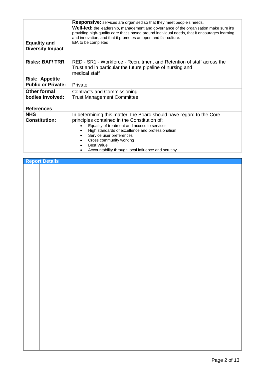|                                                | <b>Responsive:</b> services are organised so that they meet people's needs.                                                                                                                                                                                                                          |
|------------------------------------------------|------------------------------------------------------------------------------------------------------------------------------------------------------------------------------------------------------------------------------------------------------------------------------------------------------|
|                                                | <b>Well-led:</b> the leadership, management and governance of the organisation make sure it's<br>providing high-quality care that's based around individual needs, that it encourages learning<br>and innovation, and that it promotes an open and fair culture.                                     |
| <b>Equality and</b><br><b>Diversity Impact</b> | EIA to be completed                                                                                                                                                                                                                                                                                  |
| <b>Risks: BAF/TRR</b>                          | RED - SR1 - Workforce - Recruitment and Retention of staff across the<br>Trust and in particular the future pipeline of nursing and<br>medical staff                                                                                                                                                 |
| <b>Risk: Appetite</b>                          |                                                                                                                                                                                                                                                                                                      |
| <b>Public or Private:</b>                      | Private                                                                                                                                                                                                                                                                                              |
| <b>Other formal</b><br>bodies involved:        | <b>Contracts and Commissioning</b><br><b>Trust Management Committee</b>                                                                                                                                                                                                                              |
| <b>References</b>                              |                                                                                                                                                                                                                                                                                                      |
| <b>NHS</b><br><b>Constitution:</b>             | In determining this matter, the Board should have regard to the Core<br>principles contained in the Constitution of:<br>Equality of treatment and access to services<br>High standards of excellence and professionalism<br>Service user preferences<br>Cross community working<br><b>Best Value</b> |
|                                                | Accountability through local influence and scrutiny                                                                                                                                                                                                                                                  |

| <b>Report Details</b> |  |
|-----------------------|--|
|                       |  |
|                       |  |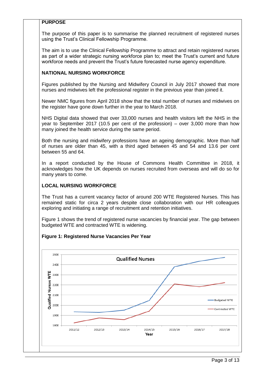# **PURPOSE**

The purpose of this paper is to summarise the planned recruitment of registered nurses using the Trust's Clinical Fellowship Programme.

The aim is to use the Clinical Fellowship Programme to attract and retain registered nurses as part of a wider strategic nursing workforce plan to; meet the Trust's current and future workforce needs and prevent the Trust's future forecasted nurse agency expenditure.

## **NATIONAL NURSING WORKFORCE**

Figures published by the Nursing and Midwifery Council in July 2017 showed that more nurses and midwives left the professional register in the previous year than joined it.

Newer NMC figures from April 2018 show that the total number of nurses and midwives on the register have gone down further in the year to March 2018.

NHS Digital data showed that over 33,000 nurses and health visitors left the NHS in the year to September 2017 (10.5 per cent of the profession) – over 3,000 more than how many joined the health service during the same period.

Both the nursing and midwifery professions have an ageing demographic. More than half of nurses are older than 45, with a third aged between 45 and 54 and 13.6 per cent between 55 and 64.

In a report conducted by the House of Commons Health Committee in 2018, it acknowledges how the UK depends on nurses recruited from overseas and will do so for many years to come.

# **LOCAL NURSING WORKFORCE**

The Trust has a current vacancy factor of around 200 WTE Registered Nurses. This has remained static for circa 2 years despite close collaboration with our HR colleagues exploring and initiating a range of recruitment and retention initiatives.

Figure 1 shows the trend of registered nurse vacancies by financial year. The gap between budgeted WTE and contracted WTE is widening.

#### **Figure 1: Registered Nurse Vacancies Per Year**

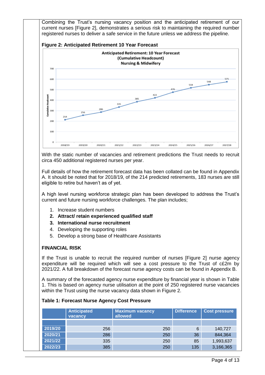Combining the Trust's nursing vacancy position and the anticipated retirement of our current nurses [Figure 2], demonstrates a serious risk to maintaining the required number registered nurses to deliver a safe service in the future unless we address the pipeline.





With the static number of vacancies and retirement predictions the Trust needs to recruit circa 450 additional registered nurses per year.

Full details of how the retirement forecast data has been collated can be found in Appendix A. It should be noted that for 2018/19, of the 214 predicted retirements, 183 nurses are still eligible to retire but haven't as of yet.

A high level nursing workforce strategic plan has been developed to address the Trust's current and future nursing workforce challenges. The plan includes;

- 1. Increase student numbers
- **2. Attract/ retain experienced qualified staff**
- **3. International nurse recruitment**
- 4. Developing the supporting roles
- 5. Develop a strong base of Healthcare Assistants

#### **FINANCIAL RISK**

If the Trust is unable to recruit the required number of nurses [Figure 2] nurse agency expenditure will be required which will see a cost pressure to the Trust of c£2m by 2021/22. A full breakdown of the forecast nurse agency costs can be found in Appendix B.

A summary of the forecasted agency nurse expenditure by financial year is shown in Table 1. This is based on agency nurse utilisation at the point of 250 registered nurse vacancies within the Trust using the nurse vacancy data shown in Figure 2.

#### **Table 1: Forecast Nurse Agency Cost Pressure**

|         | <b>Anticipated</b><br>vacancy | <b>Maximum vacancy</b><br>allowed | <b>Difference</b> | <b>Cost pressure</b> |
|---------|-------------------------------|-----------------------------------|-------------------|----------------------|
|         |                               |                                   |                   |                      |
| 2019/20 | 256                           | 250                               | 6                 | 140,727              |
| 2020/21 | 286                           | 250                               | 36                | 844,364              |
| 2021/22 | 335                           | 250                               | 85                | 1,993,637            |
| 2022/23 | 385                           | 250                               | 135               | 3,166,365            |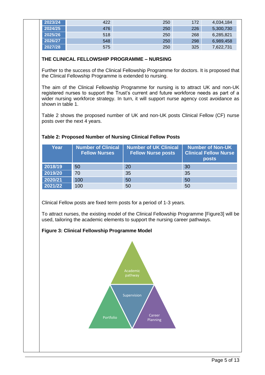| 2023/24 | 422 | 250 | 172 | 4,034,184 |
|---------|-----|-----|-----|-----------|
| 2024/25 | 476 | 250 | 226 | 5,300,730 |
| 2025/26 | 518 | 250 | 268 | 6,285,821 |
| 2026/27 | 548 | 250 | 298 | 6,989,458 |
| 2027/28 | 575 | 250 | 325 | 7,622,731 |

# **THE CLINICAL FELLOWSHIP PROGRAMME – NURSING**

Further to the success of the Clinical Fellowship Programme for doctors. It is proposed that the Clinical Fellowship Programme is extended to nursing.

The aim of the Clinical Fellowship Programme for nursing is to attract UK and non-UK registered nurses to support the Trust's current and future workforce needs as part of a wider nursing workforce strategy. In turn, it will support nurse agency cost avoidance as shown in table 1.

Table 2 shows the proposed number of UK and non-UK posts Clinical Fellow (CF) nurse posts over the next 4 years.

| Year    | <b>Number of Clinical</b><br><b>Fellow Nurses</b> | <b>Number of UK Clinical</b><br><b>Fellow Nurse posts</b> | Number of Non-UK<br><b>Clinical Fellow Nurse</b><br><b>posts</b> |
|---------|---------------------------------------------------|-----------------------------------------------------------|------------------------------------------------------------------|
| 2018/19 | 50                                                | 20                                                        | 30                                                               |
| 2019/20 | 70                                                | 35                                                        | 35                                                               |
| 2020/21 | 100                                               | 50                                                        | 50                                                               |
| 2021/22 | 100                                               | 50                                                        | 50                                                               |

# **Table 2: Proposed Number of Nursing Clinical Fellow Posts**

Clinical Fellow posts are fixed term posts for a period of 1-3 years.

To attract nurses, the existing model of the Clinical Fellowship Programme [Figure3] will be used, tailoring the academic elements to support the nursing career pathways.

# **Figure 3: Clinical Fellowship Programme Model**

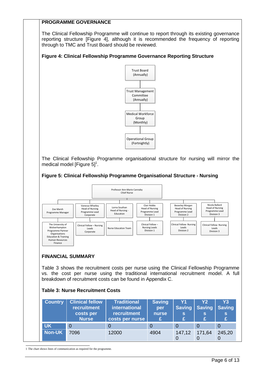# **PROGRAMME GOVERNANCE**

The Clinical Fellowship Programme will continue to report through its existing governance reporting structure [Figure 4], although it is recommended the frequency of reporting through to TMC and Trust Board should be reviewed.

## **Figure 4: Clinical Fellowship Programme Governance Reporting Structure**



The Clinical Fellowship Programme organisational structure for nursing will mirror the medical model [Figure  $5]$ <sup>1</sup>.

#### **Figure 5: Clinical Fellowship Programme Organisational Structure - Nursing**



# **FINANCIAL SUMMARY**

Table 3 shows the recruitment costs per nurse using the Clinical Fellowship Programme vs. the cost per nurse using the traditional international recruitment model. A full breakdown of recruitment costs can be found in Appendix C.

#### **Table 3: Nurse Recruitment Costs**

| <b>Country</b> | <b>Clinical fellow</b><br><b>recruitment</b><br>costs per<br><b>Nurse</b> | <b>Traditional</b><br>international<br>recruitment<br>costs per nurse | <b>Saving</b><br>per<br>nurse | Y <sub>1</sub><br><b>Saving</b><br>s<br>£ | Y <sub>2</sub><br><b>Saving</b><br>s<br>£ | Y3<br><b>Saving</b><br>S<br>£. |
|----------------|---------------------------------------------------------------------------|-----------------------------------------------------------------------|-------------------------------|-------------------------------------------|-------------------------------------------|--------------------------------|
| <b>UK</b>      | $\Omega$                                                                  |                                                                       |                               |                                           |                                           | 0                              |
| <b>Non-UK</b>  | 7096                                                                      | 12000                                                                 | 4904                          | 147,12                                    | 171,64                                    | 245,20<br>0                    |

1 The chart shows lines of communication as required for the programme.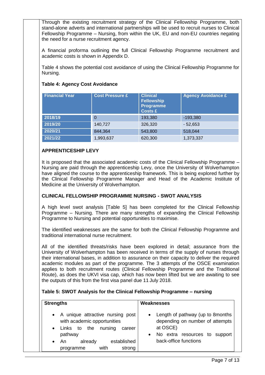Through the existing recruitment strategy of the Clinical Fellowship Programme, both stand-alone adverts and international partnerships will be used to recruit nurses to Clinical Fellowship Programme – Nursing, from within the UK, EU and non-EU countries negating the need for a nurse recruitment agency.

A financial proforma outlining the full Clinical Fellowship Programme recruitment and academic costs is shown in Appendix D.

Table 4 shows the potential cost avoidance of using the Clinical Fellowship Programme for Nursing.

# **Table 4: Agency Cost Avoidance**

| <b>Financial Year</b> | <b>Cost Pressure £</b> | <b>Clinical</b><br><b>Fellowship</b><br><b>Programme</b><br><b>Costs £</b> | <b>Agency Avoidance £</b> |
|-----------------------|------------------------|----------------------------------------------------------------------------|---------------------------|
| 2018/19               | $\overline{0}$         | 193,380                                                                    | $-193,380$                |
| 2019/20               | 140,727                | 326,320                                                                    | $-52,653$                 |
| 2020/21               | 844,364                | 543,800                                                                    | 518,044                   |
| 2021/22               | 1,993,637              | 620,300                                                                    | 1,373,337                 |

# **APPRENTICESHIP LEVY**

It is proposed that the associated academic costs of the Clinical Fellowship Programme – Nursing are paid through the apprenticeship Levy, once the University of Wolverhampton have aligned the course to the apprenticeship framework. This is being explored further by the Clinical Fellowship Programme Manager and Head of the Academic Institute of Medicine at the University of Wolverhampton.

# **CLINICAL FELLOWSHIP PROGRAMME NURSING - SWOT ANALYSIS**

A high level swot analysis [Table 5] has been completed for the Clinical Fellowship Programme – Nursing. There are many strengths of expanding the Clinical Fellowship Programme to Nursing and potential opportunities to maximise.

The identified weaknesses are the same for both the Clinical Fellowship Programme and traditional international nurse recruitment.

All of the identified threats/risks have been explored in detail; assurance from the University of Wolverhampton has been received in terms of the supply of nurses through their international bases, in addition to assurance on their capacity to deliver the required academic modules as part of the programme. The 3 attempts of the OSCE examination applies to both recruitment routes (Clinical Fellowship Programme and the Traditional Route), as does the UKVI visa cap, which has now been lifted but we are awaiting to see the outputs of this from the first visa panel due 11 July 2018.

#### **Table 5: SWOT Analysis for the Clinical Fellowship Programme – nursing**

| <b>Strengths</b>                                                                                                                                                                      | Weaknesses                                                                                                                                                |  |  |
|---------------------------------------------------------------------------------------------------------------------------------------------------------------------------------------|-----------------------------------------------------------------------------------------------------------------------------------------------------------|--|--|
| • A unique attractive nursing post<br>with academic opportunities<br>nursing<br>• Links to<br>the<br>career<br>pathway<br>established<br>already<br>An<br>with<br>strong<br>programme | • Length of pathway (up to 8 months<br>depending on number of attempts<br>at OSCE)<br>No extra resources to support<br>$\bullet$<br>back-office functions |  |  |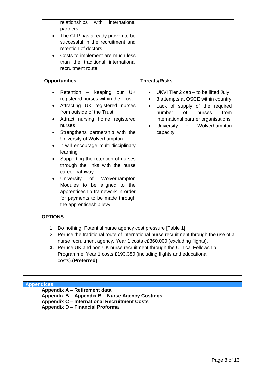| partners<br>The CFP has already proven to be<br>$\bullet$<br>successful in the recruitment and<br>retention of doctors<br>Costs to implement are much less<br>$\bullet$<br>than the traditional international<br>recruitment route                                                                                                                                                                                                                                                                                                                                                                                                                                                                             |                                                                                                                                                                                                                                                                                                          |
|----------------------------------------------------------------------------------------------------------------------------------------------------------------------------------------------------------------------------------------------------------------------------------------------------------------------------------------------------------------------------------------------------------------------------------------------------------------------------------------------------------------------------------------------------------------------------------------------------------------------------------------------------------------------------------------------------------------|----------------------------------------------------------------------------------------------------------------------------------------------------------------------------------------------------------------------------------------------------------------------------------------------------------|
| <b>Opportunities</b><br>Retention<br>keeping our<br>UK.<br>$\frac{1}{2}$<br>$\bullet$<br>registered nurses within the Trust<br>Attracting UK registered nurses<br>$\bullet$<br>from outside of the Trust<br>Attract nursing home registered<br>$\bullet$<br>nurses<br>Strengthens partnership with the<br>$\bullet$<br>University of Wolverhampton<br>It will encourage multi-disciplinary<br>$\bullet$<br>learning<br>Supporting the retention of nurses<br>$\bullet$<br>through the links with the nurse<br>career pathway<br>University<br>of Wolverhampton<br>$\bullet$<br>Modules to be aligned to the<br>apprenticeship framework in order<br>for payments to be made through<br>the apprenticeship levy | <b>Threats/Risks</b><br>UKVI Tier 2 cap – to be lifted July<br>٠<br>3 attempts at OSCE within country<br>$\bullet$<br>Lack of supply of the required<br>$\bullet$<br>number<br>of<br>from<br>nurses<br>international partner organisations<br>University<br>Wolverhampton<br>of<br>$\bullet$<br>capacity |

costs).**(Preferred)** 

**Appendices**

**Appendix A – Retirement data Appendix B – Appendix B – Nurse Agency Costings Appendix C – International Recruitment Costs Appendix D – Financial Proforma**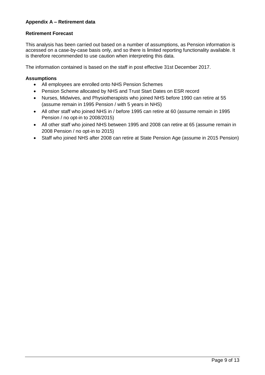# **Appendix A – Retirement data**

#### **Retirement Forecast**

This analysis has been carried out based on a number of assumptions, as Pension information is accessed on a case-by-case basis only, and so there is limited reporting functionality available. It is therefore recommended to use caution when interpreting this data.

The information contained is based on the staff in post effective 31st December 2017.

#### **Assumptions**

- All employees are enrolled onto NHS Pension Schemes
- Pension Scheme allocated by NHS and Trust Start Dates on ESR record
- Nurses, Midwives, and Physiotherapists who joined NHS before 1990 can retire at 55 (assume remain in 1995 Pension / with 5 years in NHS)
- All other staff who joined NHS in / before 1995 can retire at 60 (assume remain in 1995 Pension / no opt-in to 2008/2015)
- All other staff who joined NHS between 1995 and 2008 can retire at 65 (assume remain in 2008 Pension / no opt-in to 2015)
- Staff who joined NHS after 2008 can retire at State Pension Age (assume in 2015 Pension)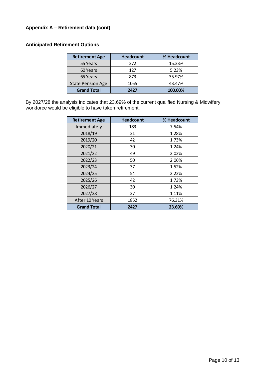# **Appendix A – Retirement data (cont)**

# **Anticipated Retirement Options**

| <b>Retirement Age</b>    | <b>Headcount</b> | % Headcount |
|--------------------------|------------------|-------------|
| 55 Years                 | 372              | 15.33%      |
| 60 Years                 | 127              | 5.23%       |
| 65 Years                 | 873              | 35.97%      |
| <b>State Pension Age</b> | 1055             | 43.47%      |
| <b>Grand Total</b>       | 2427             | 100.00%     |

By 2027/28 the analysis indicates that 23.69% of the current qualified Nursing & Midwifery workforce would be eligible to have taken retirement.

| <b>Retirement Age</b> | <b>Headcount</b> | % Headcount |
|-----------------------|------------------|-------------|
| Immediately           | 183              | 7.54%       |
| 2018/19               | 31               | 1.28%       |
| 2019/20               | 42               | 1.73%       |
| 2020/21               | 30               | 1.24%       |
| 2021/22               | 49               | 2.02%       |
| 2022/23               | 50               | 2.06%       |
| 2023/24               | 37               | 1.52%       |
| 2024/25               | 54               | 2.22%       |
| 2025/26               | 42               | 1.73%       |
| 2026/27               | 30               | 1.24%       |
| 2027/28               | 27               | 1.11%       |
| After 10 Years        | 1852             | 76.31%      |
| <b>Grand Total</b>    | 2427             | 23.69%      |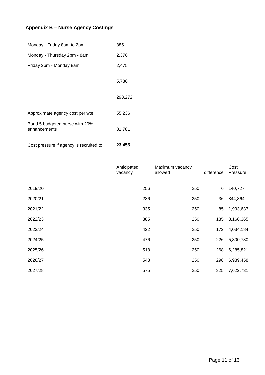# **Appendix B – Nurse Agency Costings**

| Monday - Friday 8am to 2pm                     | 885     |
|------------------------------------------------|---------|
| Monday - Thursday 2pm - 8am                    | 2,376   |
| Friday 2pm - Monday 8am                        | 2,475   |
|                                                | 5,736   |
|                                                | 298,272 |
| Approximate agency cost per wte                | 55,236  |
| Band 5 budgeted nurse with 20%<br>enhancements | 31,781  |
| Cost pressure if agency is recruited to        | 23,455  |

|         | Anticipated<br>vacancy | Maximum vacancy<br>allowed | difference | Cost<br>Pressure |
|---------|------------------------|----------------------------|------------|------------------|
| 2019/20 | 256                    | 250                        | 6          | 140,727          |
| 2020/21 | 286                    | 250                        | 36         | 844,364          |
| 2021/22 | 335                    | 250                        | 85         | 1,993,637        |
| 2022/23 | 385                    | 250                        | 135        | 3,166,365        |
| 2023/24 | 422                    | 250                        | 172        | 4,034,184        |
| 2024/25 | 476                    | 250                        | 226        | 5,300,730        |
| 2025/26 | 518                    | 250                        | 268        | 6,285,821        |
| 2026/27 | 548                    | 250                        | 298        | 6,989,458        |
| 2027/28 | 575                    | 250                        | 325        | 7,622,731        |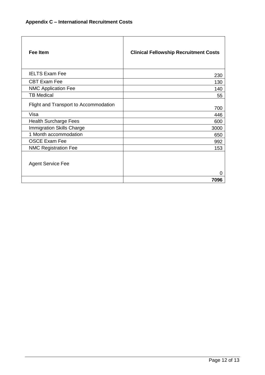| Fee Item                              | <b>Clinical Fellowship Recruitment Costs</b> |
|---------------------------------------|----------------------------------------------|
| <b>IELTS Exam Fee</b>                 | 230                                          |
| <b>CBT Exam Fee</b>                   | 130                                          |
| <b>NMC Application Fee</b>            | 140                                          |
| <b>TB Medical</b>                     | 55                                           |
| Flight and Transport to Accommodation | 700                                          |
| Visa                                  | 446                                          |
| <b>Health Surcharge Fees</b>          | 600                                          |
| <b>Immigration Skills Charge</b>      | 3000                                         |
| 1 Month accommodation                 | 650                                          |
| <b>OSCE Exam Fee</b>                  | 992                                          |
| <b>NMC Registration Fee</b>           | 153                                          |
| <b>Agent Service Fee</b>              | 0                                            |
|                                       | 7096                                         |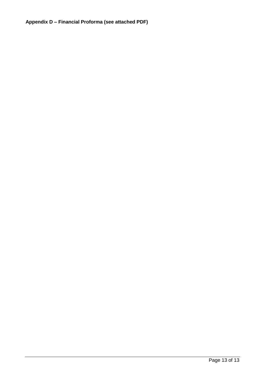# **Appendix D – Financial Proforma (see attached PDF)**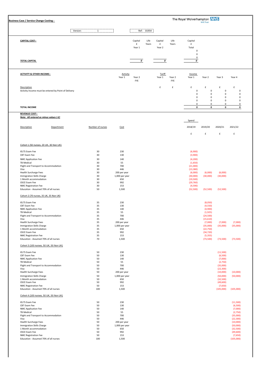| The Royal Wolverhampton <b>NHS</b><br><b>Business Case / Service Change Costing:</b><br><b>NHS Trust</b>                                                              |                                  |                                                     |                        |               |                         |               |                                                           |                                                                   |                                                           |                                                           |
|-----------------------------------------------------------------------------------------------------------------------------------------------------------------------|----------------------------------|-----------------------------------------------------|------------------------|---------------|-------------------------|---------------|-----------------------------------------------------------|-------------------------------------------------------------------|-----------------------------------------------------------|-----------------------------------------------------------|
|                                                                                                                                                                       |                                  |                                                     |                        |               |                         |               |                                                           |                                                                   |                                                           |                                                           |
| Version:                                                                                                                                                              | $\mathbf{1}$                     |                                                     | Ref:                   | 01954         |                         |               |                                                           |                                                                   |                                                           |                                                           |
| <b>CAPITAL COST:-</b>                                                                                                                                                 |                                  |                                                     | Capital<br>£<br>Year 1 | Life<br>Years | Capital<br>£<br>Year 2  | Life<br>Years | Capital<br>£<br>Total<br>$\pmb{0}$                        |                                                                   |                                                           |                                                           |
| <b>TOTAL CAPITAL</b>                                                                                                                                                  |                                  |                                                     | 0                      |               | $\pmb{o}$               |               | $\pmb{0}$<br>$\pmb{0}$<br>0                               |                                                                   |                                                           |                                                           |
| <b>ACTIVITY &amp; OTHER INCOME:-</b>                                                                                                                                  |                                  | Activity<br>Year 1                                  | Year 2<br>FYE          |               | <b>Tariff</b><br>Year 1 | Year 2<br>FYE | Income<br>Year 1                                          | Year 2                                                            | Year 3                                                    | Year 4                                                    |
| Description<br>Activity Income must be entered by Point of Delivery                                                                                                   |                                  |                                                     |                        |               | £                       | £             | £<br>$\pmb{0}$<br>$\pmb{0}$<br>0<br>0                     | £<br>0<br>$\mathbf 0$<br>0<br>0                                   | £<br>$\pmb{0}$<br>$\mathbf 0$<br>0<br>0                   | £<br>$\mathbf 0$<br>$\mathbf 0$<br>0<br>0                 |
| <b>TOTAL INCOME</b>                                                                                                                                                   |                                  |                                                     |                        |               |                         |               | 0<br>$\pmb{0}$                                            | 0<br>0                                                            | 0<br>0                                                    | 0<br>0                                                    |
| <b>REVENUE COST:-</b><br>Note: All entered as minus values (-£)                                                                                                       |                                  |                                                     |                        |               |                         |               | Spend                                                     |                                                                   |                                                           |                                                           |
| Description<br>Department                                                                                                                                             | Number of nurses                 | Cost                                                |                        |               |                         |               | 2018/19                                                   | 2019/20                                                           | 2020/21                                                   | 2021/22                                                   |
|                                                                                                                                                                       |                                  |                                                     |                        |               |                         |               | £                                                         | £                                                                 | £                                                         | £                                                         |
| Cohort 1 (50 nurses, 20 UK, 30 Non UK)                                                                                                                                |                                  |                                                     |                        |               |                         |               |                                                           |                                                                   |                                                           |                                                           |
| <b>IELTS Exam Fee</b><br>CBT Exam Fee<br>NMC Application Fee<br><b>TB Medical</b><br>Flight and Transport to Accommodation                                            | 30<br>30<br>30<br>30<br>30       | 230<br>130<br>140<br>55<br>700                      |                        |               |                         |               | (6,900)<br>(3,900)<br>(4, 200)<br>(1,650)<br>(21,000)     |                                                                   |                                                           |                                                           |
| Visa<br>Health Surcharge Fees<br>Immigration Skills Charge<br>1 Month accommodation<br>OSCE Exam Fee                                                                  | 30<br>30<br>30<br>30<br>30       | 446<br>200 per year<br>1,000 per year<br>650<br>992 |                        |               |                         |               | (13, 380)<br>(6,000)<br>(30,000)<br>(19,500)<br>(29, 760) | (6,000)<br>(30,000)                                               | (6,000)<br>(30,000)                                       |                                                           |
| NMC Registration Fee<br>Education - Assumed 70% of all nurses                                                                                                         | 30<br>50                         | 153<br>1,500                                        |                        |               |                         |               | (4,590)<br>(52,500)                                       | (52, 500)                                                         | (52,500)                                                  |                                                           |
| Cohort 2 (70 nurses, 35 UK, 35 Non UK)                                                                                                                                |                                  |                                                     |                        |               |                         |               |                                                           |                                                                   |                                                           |                                                           |
| <b>IELTS Exam Fee</b><br>CBT Exam Fee<br>NMC Application Fee<br><b>TB Medical</b><br>Flight and Transport to Accommodation<br>Visa                                    | 35<br>35<br>35<br>35<br>35<br>35 | 230<br>130<br>140<br>55<br>700<br>446               |                        |               |                         |               |                                                           | (8,050)<br>(4,550)<br>(4,900)<br>(1,925)<br>(24,500)<br>(15, 610) |                                                           |                                                           |
| <b>Health Surcharge Fees</b><br>Immigration Skills Charge<br>1 Month accommodation<br>OSCE Exam Fee<br>NMC Registration Fee                                           | 35<br>35<br>35<br>35<br>35       | 200 per year<br>1,000 per year<br>650<br>992<br>153 |                        |               |                         |               |                                                           | (7,000)<br>(35,000)<br>(22,750)<br>(34, 720)<br>(5, 355)          | (7,000)<br>(35,000)                                       | (7,000)<br>(35,000)                                       |
| Education - Assumed 70% of all nurses<br>Cohort 3 (100 nurses, 50 UK, 50 Non UK)                                                                                      | 70                               | 1,500                                               |                        |               |                         |               |                                                           | (73,500)                                                          | (73,500)                                                  | (73,500)                                                  |
| <b>IELTS Exam Fee</b><br>CBT Exam Fee<br>NMC Application Fee<br><b>TB Medical</b><br>Flight and Transport to Accommodation                                            | 50<br>50<br>50<br>50<br>50       | 230<br>130<br>140<br>55<br>700                      |                        |               |                         |               |                                                           |                                                                   | (11,500)<br>(6,500)<br>(7,000)<br>(2,750)<br>(35,000)     |                                                           |
| Visa<br>Health Surcharge Fees<br>Immigration Skills Charge<br>1 Month accommodation<br>OSCE Exam Fee                                                                  | 50<br>50<br>50<br>50<br>50       | 446<br>200 per year<br>1,000 per year<br>650<br>992 |                        |               |                         |               |                                                           |                                                                   | (22, 300)<br>(10,000)<br>(50,000)<br>(32,500)<br>(49,600) | (10,000)<br>(50,000)                                      |
| NMC Registration Fee<br>Education - Assumed 70% of all nurses                                                                                                         | 50<br>100                        | 153<br>1,500                                        |                        |               |                         |               |                                                           |                                                                   | (7,650)<br>(105,000)                                      | (105,000)                                                 |
| Cohort 4 (100 nurses, 50 UK, 50 Non UK)<br><b>IELTS Exam Fee</b><br>CBT Exam Fee<br>NMC Application Fee<br><b>TB Medical</b><br>Flight and Transport to Accommodation | 50<br>50<br>50<br>50<br>50       | 230<br>130<br>140<br>55<br>700                      |                        |               |                         |               |                                                           |                                                                   |                                                           | (11,500)<br>(6,500)<br>(7,000)<br>(2,750)<br>(35,000)     |
| Visa<br><b>Health Surcharge Fees</b><br>Immigration Skills Charge<br>1 Month accommodation<br>OSCE Exam Fee                                                           | 50<br>50<br>50<br>50<br>50       | 446<br>200 per year<br>1,000 per year<br>650<br>992 |                        |               |                         |               |                                                           |                                                                   |                                                           | (22, 300)<br>(10,000)<br>(50,000)<br>(32,500)<br>(49,600) |
| NMC Registration Fee<br>Education - Assumed 70% of all nurses                                                                                                         | 50<br>100                        | 153<br>1,500                                        |                        |               |                         |               |                                                           |                                                                   |                                                           | (7,650)<br>(105,000)                                      |